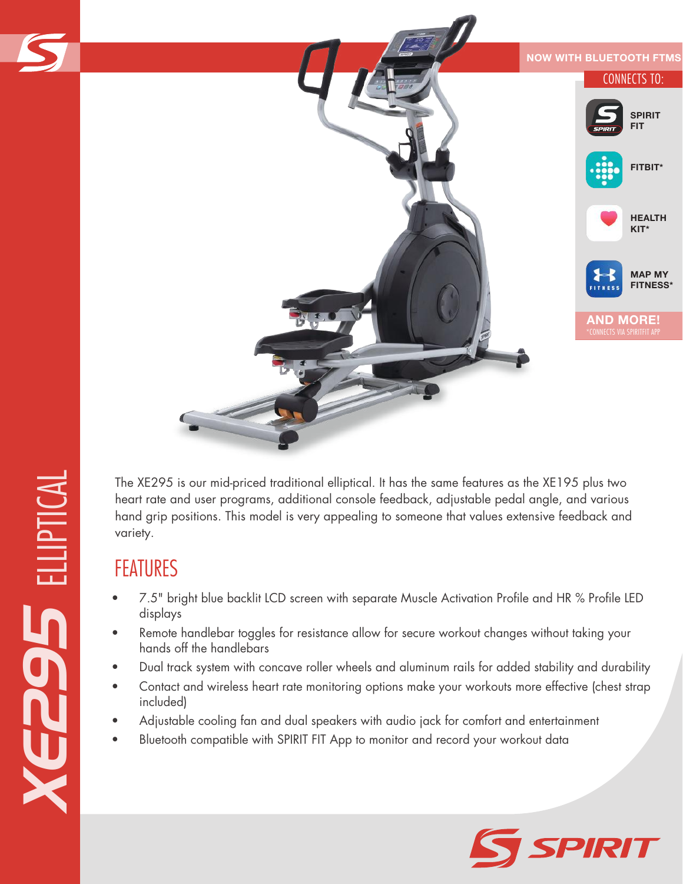

The XE295 is our mid-priced traditional elliptical. It has the same features as the XE195 plus two heart rate and user programs, additional console feedback, adjustable pedal angle, and various hand grip positions. This model is very appealing to someone that values extensive feedback and variety.

## FEATURES

- 7.5" bright blue backlit LCD screen with separate Muscle Activation Profile and HR % Profile LED displays
- Remote handlebar toggles for resistance allow for secure workout changes without taking your hands off the handlebars
- Dual track system with concave roller wheels and aluminum rails for added stability and durability
- Contact and wireless heart rate monitoring options make your workouts more effective (chest strap included)
- Adjustable cooling fan and dual speakers with audio jack for comfort and entertainment
- Bluetooth compatible with SPIRIT FIT App to monitor and record your workout data